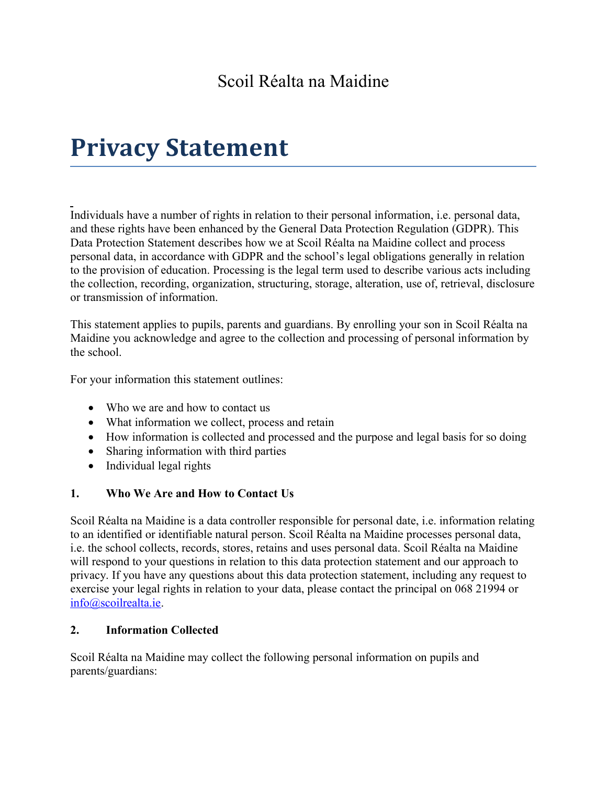# **Privacy Statement**

Individuals have a number of rights in relation to their personal information, i.e. personal data, and these rights have been enhanced by the General Data Protection Regulation (GDPR). This Data Protection Statement describes how we at Scoil Réalta na Maidine collect and process personal data, in accordance with GDPR and the school's legal obligations generally in relation to the provision of education. Processing is the legal term used to describe various acts including the collection, recording, organization, structuring, storage, alteration, use of, retrieval, disclosure or transmission of information.

This statement applies to pupils, parents and guardians. By enrolling your son in Scoil Réalta na Maidine you acknowledge and agree to the collection and processing of personal information by the school.

For your information this statement outlines:

- Who we are and how to contact us
- What information we collect, process and retain
- How information is collected and processed and the purpose and legal basis for so doing
- Sharing information with third parties
- Individual legal rights

## **1. Who We Are and How to Contact Us**

Scoil Réalta na Maidine is a data controller responsible for personal date, i.e. information relating to an identified or identifiable natural person. Scoil Réalta na Maidine processes personal data, i.e. the school collects, records, stores, retains and uses personal data. Scoil Réalta na Maidine will respond to your questions in relation to this data protection statement and our approach to privacy. If you have any questions about this data protection statement, including any request to exercise your legal rights in relation to your data, please contact the principal on 068 21994 or [info@scoilrealta.ie.](mailto:info@scoilrealta.ie)

## **2. Information Collected**

Scoil Réalta na Maidine may collect the following personal information on pupils and parents/guardians: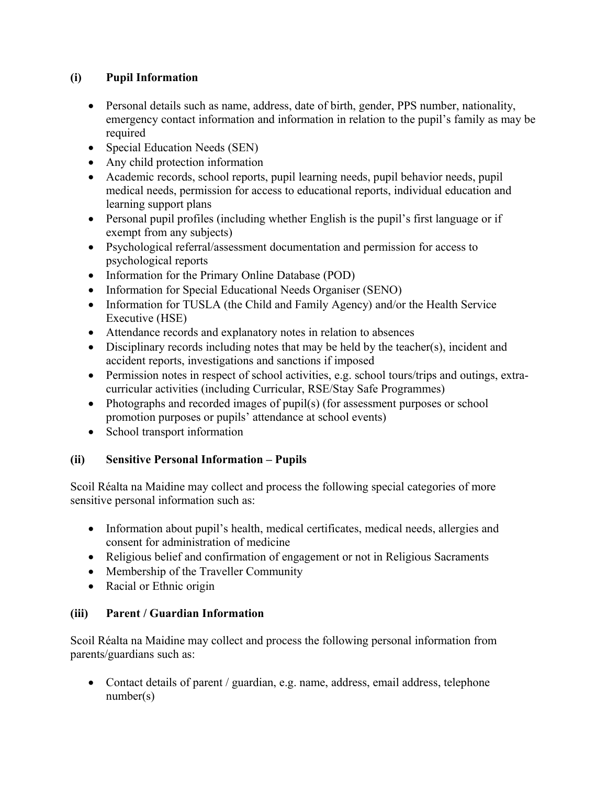# **(i) Pupil Information**

- Personal details such as name, address, date of birth, gender, PPS number, nationality, emergency contact information and information in relation to the pupil's family as may be required
- Special Education Needs (SEN)
- Any child protection information
- Academic records, school reports, pupil learning needs, pupil behavior needs, pupil medical needs, permission for access to educational reports, individual education and learning support plans
- Personal pupil profiles (including whether English is the pupil's first language or if exempt from any subjects)
- Psychological referral/assessment documentation and permission for access to psychological reports
- Information for the Primary Online Database (POD)
- Information for Special Educational Needs Organiser (SENO)
- Information for TUSLA (the Child and Family Agency) and/or the Health Service Executive (HSE)
- Attendance records and explanatory notes in relation to absences
- Disciplinary records including notes that may be held by the teacher(s), incident and accident reports, investigations and sanctions if imposed
- Permission notes in respect of school activities, e.g. school tours/trips and outings, extracurricular activities (including Curricular, RSE/Stay Safe Programmes)
- Photographs and recorded images of pupil(s) (for assessment purposes or school promotion purposes or pupils' attendance at school events)
- School transport information

# **(ii) Sensitive Personal Information – Pupils**

Scoil Réalta na Maidine may collect and process the following special categories of more sensitive personal information such as:

- Information about pupil's health, medical certificates, medical needs, allergies and consent for administration of medicine
- Religious belief and confirmation of engagement or not in Religious Sacraments
- Membership of the Traveller Community
- Racial or Ethnic origin

# **(iii) Parent / Guardian Information**

Scoil Réalta na Maidine may collect and process the following personal information from parents/guardians such as:

 Contact details of parent / guardian, e.g. name, address, email address, telephone number(s)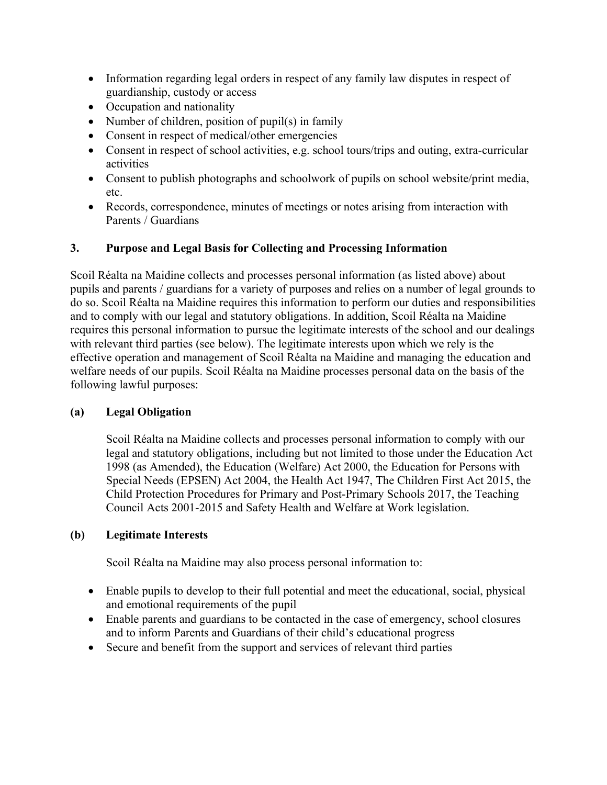- Information regarding legal orders in respect of any family law disputes in respect of guardianship, custody or access
- Occupation and nationality
- Number of children, position of pupil(s) in family
- Consent in respect of medical/other emergencies
- Consent in respect of school activities, e.g. school tours/trips and outing, extra-curricular activities
- Consent to publish photographs and schoolwork of pupils on school website/print media, etc.
- Records, correspondence, minutes of meetings or notes arising from interaction with Parents / Guardians

# **3. Purpose and Legal Basis for Collecting and Processing Information**

Scoil Réalta na Maidine collects and processes personal information (as listed above) about pupils and parents / guardians for a variety of purposes and relies on a number of legal grounds to do so. Scoil Réalta na Maidine requires this information to perform our duties and responsibilities and to comply with our legal and statutory obligations. In addition, Scoil Réalta na Maidine requires this personal information to pursue the legitimate interests of the school and our dealings with relevant third parties (see below). The legitimate interests upon which we rely is the effective operation and management of Scoil Réalta na Maidine and managing the education and welfare needs of our pupils. Scoil Réalta na Maidine processes personal data on the basis of the following lawful purposes:

## **(a) Legal Obligation**

Scoil Réalta na Maidine collects and processes personal information to comply with our legal and statutory obligations, including but not limited to those under the Education Act 1998 (as Amended), the Education (Welfare) Act 2000, the Education for Persons with Special Needs (EPSEN) Act 2004, the Health Act 1947, The Children First Act 2015, the Child Protection Procedures for Primary and Post-Primary Schools 2017, the Teaching Council Acts 2001-2015 and Safety Health and Welfare at Work legislation.

# **(b) Legitimate Interests**

Scoil Réalta na Maidine may also process personal information to:

- Enable pupils to develop to their full potential and meet the educational, social, physical and emotional requirements of the pupil
- Enable parents and guardians to be contacted in the case of emergency, school closures and to inform Parents and Guardians of their child's educational progress
- Secure and benefit from the support and services of relevant third parties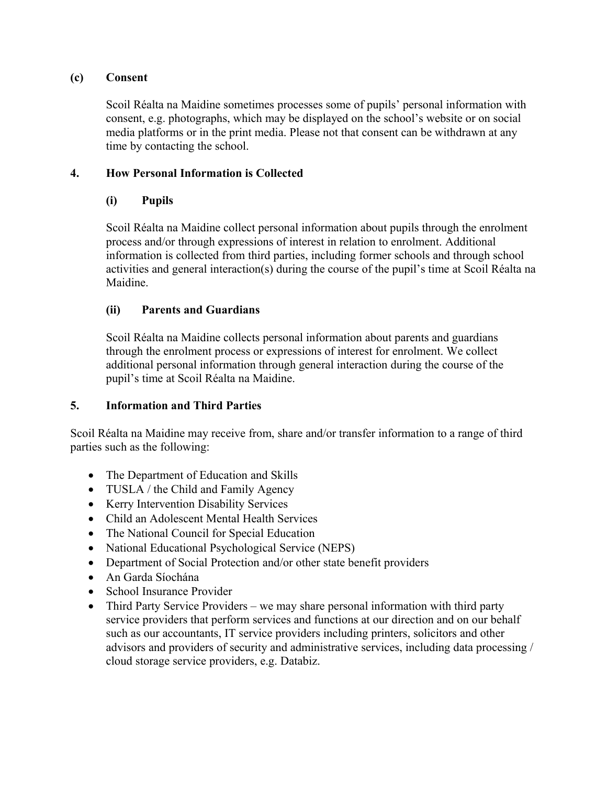#### **(c) Consent**

Scoil Réalta na Maidine sometimes processes some of pupils' personal information with consent, e.g. photographs, which may be displayed on the school's website or on social media platforms or in the print media. Please not that consent can be withdrawn at any time by contacting the school.

## **4. How Personal Information is Collected**

# **(i) Pupils**

Scoil Réalta na Maidine collect personal information about pupils through the enrolment process and/or through expressions of interest in relation to enrolment. Additional information is collected from third parties, including former schools and through school activities and general interaction(s) during the course of the pupil's time at Scoil Réalta na Maidine.

## **(ii) Parents and Guardians**

Scoil Réalta na Maidine collects personal information about parents and guardians through the enrolment process or expressions of interest for enrolment. We collect additional personal information through general interaction during the course of the pupil's time at Scoil Réalta na Maidine.

## **5. Information and Third Parties**

Scoil Réalta na Maidine may receive from, share and/or transfer information to a range of third parties such as the following:

- The Department of Education and Skills
- TUSLA / the Child and Family Agency
- Kerry Intervention Disability Services
- Child an Adolescent Mental Health Services
- The National Council for Special Education
- National Educational Psychological Service (NEPS)
- Department of Social Protection and/or other state benefit providers
- An Garda Síochána
- School Insurance Provider
- Third Party Service Providers we may share personal information with third party service providers that perform services and functions at our direction and on our behalf such as our accountants, IT service providers including printers, solicitors and other advisors and providers of security and administrative services, including data processing / cloud storage service providers, e.g. Databiz.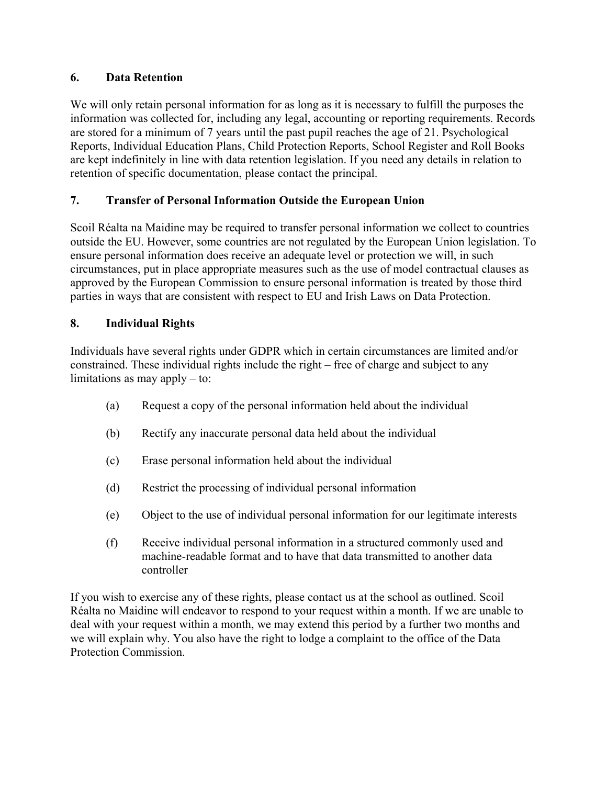# **6. Data Retention**

We will only retain personal information for as long as it is necessary to fulfill the purposes the information was collected for, including any legal, accounting or reporting requirements. Records are stored for a minimum of 7 years until the past pupil reaches the age of 21. Psychological Reports, Individual Education Plans, Child Protection Reports, School Register and Roll Books are kept indefinitely in line with data retention legislation. If you need any details in relation to retention of specific documentation, please contact the principal.

# **7. Transfer of Personal Information Outside the European Union**

Scoil Réalta na Maidine may be required to transfer personal information we collect to countries outside the EU. However, some countries are not regulated by the European Union legislation. To ensure personal information does receive an adequate level or protection we will, in such circumstances, put in place appropriate measures such as the use of model contractual clauses as approved by the European Commission to ensure personal information is treated by those third parties in ways that are consistent with respect to EU and Irish Laws on Data Protection.

# **8. Individual Rights**

Individuals have several rights under GDPR which in certain circumstances are limited and/or constrained. These individual rights include the right – free of charge and subject to any limitations as may apply – to:

- (a) Request a copy of the personal information held about the individual
- (b) Rectify any inaccurate personal data held about the individual
- (c) Erase personal information held about the individual
- (d) Restrict the processing of individual personal information
- (e) Object to the use of individual personal information for our legitimate interests
- (f) Receive individual personal information in a structured commonly used and machine-readable format and to have that data transmitted to another data controller

If you wish to exercise any of these rights, please contact us at the school as outlined. Scoil Réalta no Maidine will endeavor to respond to your request within a month. If we are unable to deal with your request within a month, we may extend this period by a further two months and we will explain why. You also have the right to lodge a complaint to the office of the Data Protection Commission.